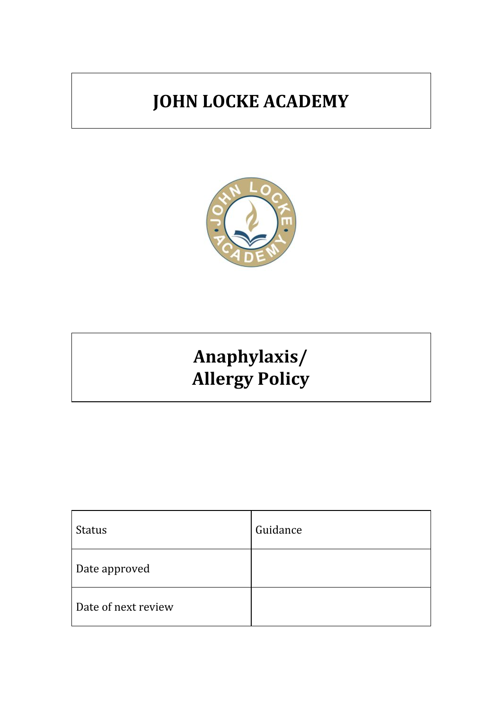## **JOHN LOCKE ACADEMY**



# **Anaphylaxis/ Allergy Policy**

| <b>Status</b>       | Guidance |
|---------------------|----------|
| Date approved       |          |
| Date of next review |          |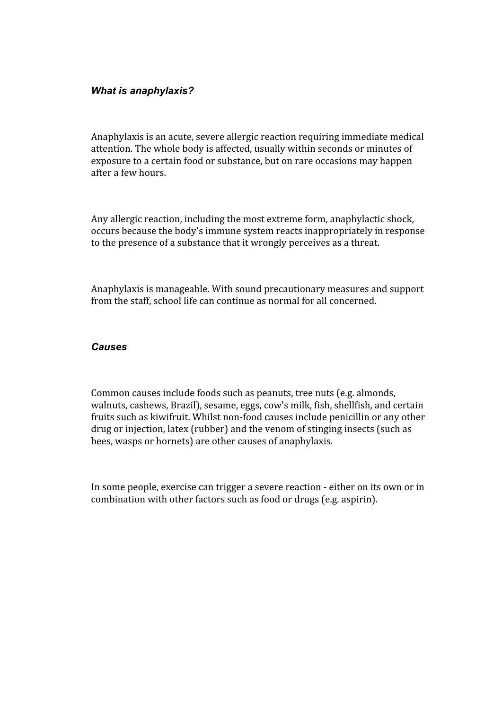#### *What is anaphylaxis?*

Anaphylaxis is an acute, severe allergic reaction requiring immediate medical attention. The whole body is affected, usually within seconds or minutes of exposure to a certain food or substance, but on rare occasions may happen after a few hours.

Any allergic reaction, including the most extreme form, anaphylactic shock, occurs because the body's immune system reacts inappropriately in response to the presence of a substance that it wrongly perceives as a threat.

Anaphylaxis is manageable. With sound precautionary measures and support from the staff, school life can continue as normal for all concerned.

#### *Causes*

Common causes include foods such as peanuts, tree nuts (e.g. almonds, walnuts, cashews, Brazil), sesame, eggs, cow's milk, fish, shellfish, and certain fruits such as kiwifruit. Whilst non-food causes include penicillin or any other drug or injection, latex (rubber) and the venom of stinging insects (such as bees, wasps or hornets) are other causes of anaphylaxis.

In some people, exercise can trigger a severe reaction - either on its own or in combination with other factors such as food or drugs (e.g. aspirin).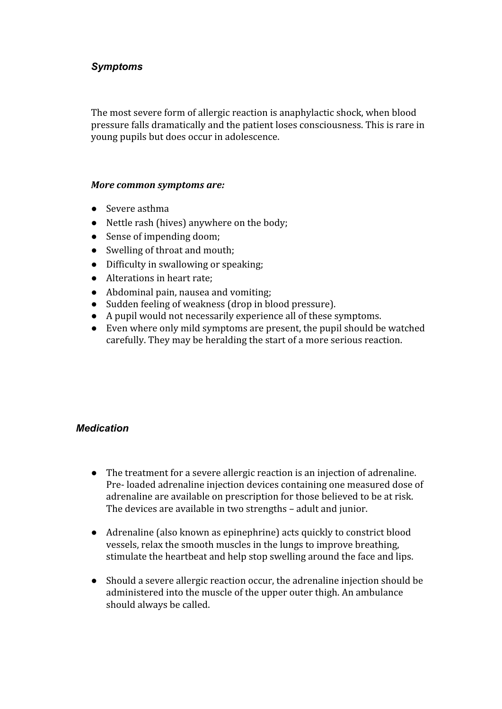#### *Symptoms*

The most severe form of allergic reaction is anaphylactic shock, when blood pressure falls dramatically and the patient loses consciousness. This is rare in young pupils but does occur in adolescence.

#### *More common symptoms are:*

- Severe asthma
- Nettle rash (hives) anywhere on the body;
- Sense of impending doom;
- Swelling of throat and mouth;
- Difficulty in swallowing or speaking;
- Alterations in heart rate;
- Abdominal pain, nausea and vomiting;
- Sudden feeling of weakness (drop in blood pressure).
- A pupil would not necessarily experience all of these symptoms.
- Even where only mild symptoms are present, the pupil should be watched carefully. They may be heralding the start of a more serious reaction.

#### *Medication*

- The treatment for a severe allergic reaction is an injection of adrenaline. Pre- loaded adrenaline injection devices containing one measured dose of adrenaline are available on prescription for those believed to be at risk. The devices are available in two strengths – adult and junior.
- Adrenaline (also known as epinephrine) acts quickly to constrict blood vessels, relax the smooth muscles in the lungs to improve breathing, stimulate the heartbeat and help stop swelling around the face and lips.
- Should a severe allergic reaction occur, the adrenaline injection should be administered into the muscle of the upper outer thigh. An ambulance should always be called.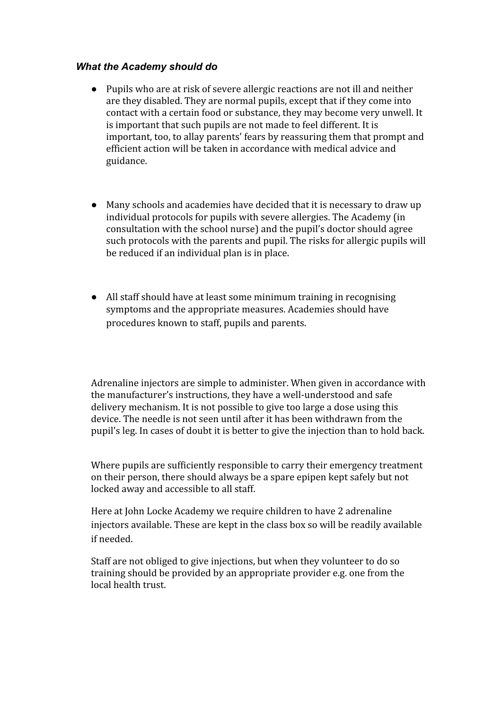#### *What the Academy should do*

- Pupils who are at risk of severe allergic reactions are not ill and neither are they disabled. They are normal pupils, except that if they come into contact with a certain food or substance, they may become very unwell. It is important that such pupils are not made to feel different. It is important, too, to allay parents' fears by reassuring them that prompt and efficient action will be taken in accordance with medical advice and guidance.
- Many schools and academies have decided that it is necessary to draw up individual protocols for pupils with severe allergies. The Academy (in consultation with the school nurse) and the pupil's doctor should agree such protocols with the parents and pupil. The risks for allergic pupils will be reduced if an individual plan is in place.
- All staff should have at least some minimum training in recognising symptoms and the appropriate measures. Academies should have procedures known to staff, pupils and parents.

Adrenaline injectors are simple to administer. When given in accordance with the manufacturer's instructions, they have a well-understood and safe delivery mechanism. It is not possible to give too large a dose using this device. The needle is not seen until after it has been withdrawn from the pupil's leg. In cases of doubt it is better to give the injection than to hold back.

Where pupils are sufficiently responsible to carry their emergency treatment on their person, there should always be a spare epipen kept safely but not locked away and accessible to all staff.

Here at John Locke Academy we require children to have 2 adrenaline injectors available. These are kept in the class box so will be readily available if needed.

Staff are not obliged to give injections, but when they volunteer to do so training should be provided by an appropriate provider e.g. one from the local health trust.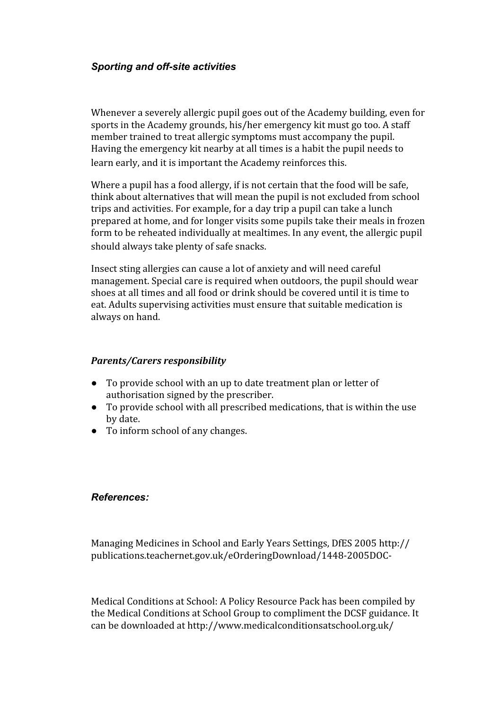#### *Sporting and off-site activities*

Whenever a severely allergic pupil goes out of the Academy building, even for sports in the Academy grounds, his/her emergency kit must go too. A staff member trained to treat allergic symptoms must accompany the pupil. Having the emergency kit nearby at all times is a habit the pupil needs to learn early, and it is important the Academy reinforces this.

Where a pupil has a food allergy, if is not certain that the food will be safe, think about alternatives that will mean the pupil is not excluded from school trips and activities. For example, for a day trip a pupil can take a lunch prepared at home, and for longer visits some pupils take their meals in frozen form to be reheated individually at mealtimes. In any event, the allergic pupil should always take plenty of safe snacks.

Insect sting allergies can cause a lot of anxiety and will need careful management. Special care is required when outdoors, the pupil should wear shoes at all times and all food or drink should be covered until it is time to eat. Adults supervising activities must ensure that suitable medication is always on hand.

#### *Parents/Carers responsibility*

- To provide school with an up to date treatment plan or letter of authorisation signed by the prescriber.
- To provide school with all prescribed medications, that is within the use by date.
- To inform school of any changes.

#### *References:*

Managing Medicines in School and Early Years Settings, DfES 2005 http:// publications.teachernet.gov.uk/eOrderingDownload/1448-2005DOC-

Medical Conditions at School: A Policy Resource Pack has been compiled by the Medical Conditions at School Group to compliment the DCSF guidance. It can be downloaded at http://www.medicalconditionsatschool.org.uk/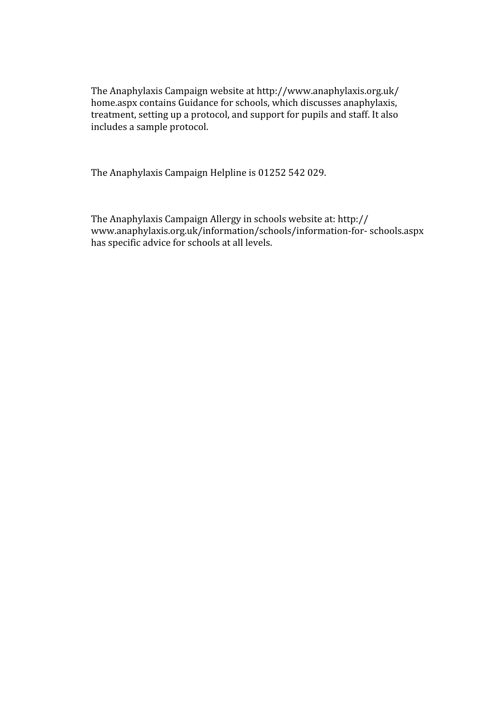The Anaphylaxis Campaign website at http://www.anaphylaxis.org.uk/ home.aspx contains Guidance for schools, which discusses anaphylaxis, treatment, setting up a protocol, and support for pupils and staff. It also includes a sample protocol.

The Anaphylaxis Campaign Helpline is 01252 542 029.

The Anaphylaxis Campaign Allergy in schools website at: http:// www.anaphylaxis.org.uk/information/schools/information-for- schools.aspx has specific advice for schools at all levels.